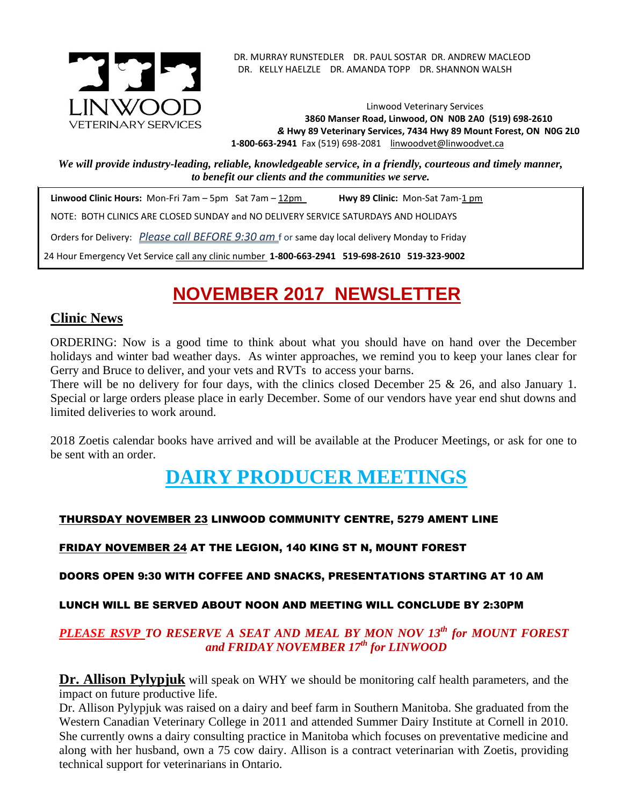

. DR. MURRAY RUNSTEDLER DR. PAUL SOSTAR DR. ANDREW MACLEOD DR. KELLY HAELZLE DR. AMANDA TOPP DR. SHANNON WALSH

Linwood Veterinary Services **3860 Manser Road, Linwood, ON N0B 2A0 (519) 698-2610** *&* **Hwy 89 Veterinary Services, 7434 Hwy 89 Mount Forest, ON N0G 2L0 1-800-663-2941** Fax (519) 698-2081[linwoodvet@linwoodvet.ca](mailto:linwoodvet@linwoodvet.ca)

*We will provide industry-leading, reliable, knowledgeable service, in a friendly, courteous and timely manner, to benefit our clients and the communities we serve.*

 **Linwood Clinic Hours:** Mon-Fri 7am – 5pm Sat 7am – 12pm **Hwy 89 Clinic:** Mon-Sat 7am-1 pm NOTE: BOTH CLINICS ARE CLOSED SUNDAY and NO DELIVERY SERVICE SATURDAYS AND HOLIDAYS Orders for Delivery: *Please call BEFORE 9:30 am* f or same day local delivery Monday to Friday 24 Hour Emergency Vet Service call any clinic number **1-800-663-2941 519-698-2610 519-323-9002**

# **NOVEMBER 2017 NEWSLETTER**

### **Clinic News**

ORDERING: Now is a good time to think about what you should have on hand over the December holidays and winter bad weather days. As winter approaches, we remind you to keep your lanes clear for Gerry and Bruce to deliver, and your vets and RVTs to access your barns.

There will be no delivery for four days, with the clinics closed December 25 & 26, and also January 1. Special or large orders please place in early December. Some of our vendors have year end shut downs and limited deliveries to work around.

2018 Zoetis calendar books have arrived and will be available at the Producer Meetings, or ask for one to be sent with an order.

# **DAIRY PRODUCER MEETINGS**

#### THURSDAY NOVEMBER 23 LINWOOD COMMUNITY CENTRE, 5279 AMENT LINE

#### FRIDAY NOVEMBER 24 AT THE LEGION, 140 KING ST N, MOUNT FOREST

DOORS OPEN 9:30 WITH COFFEE AND SNACKS, PRESENTATIONS STARTING AT 10 AM

#### LUNCH WILL BE SERVED ABOUT NOON AND MEETING WILL CONCLUDE BY 2:30PM

#### *PLEASE RSVP TO RESERVE A SEAT AND MEAL BY MON NOV 13 th for MOUNT FOREST and FRIDAY NOVEMBER 17th for LINWOOD*

**Dr. Allison Pylypjuk** will speak on WHY we should be monitoring calf health parameters, and the impact on future productive life.

Dr. Allison Pylypjuk was raised on a dairy and beef farm in Southern Manitoba. She graduated from the Western Canadian Veterinary College in 2011 and attended Summer Dairy Institute at Cornell in 2010. She currently owns a dairy consulting practice in Manitoba which focuses on preventative medicine and along with her husband, own a 75 cow dairy. Allison is a contract veterinarian with Zoetis, providing technical support for veterinarians in Ontario.